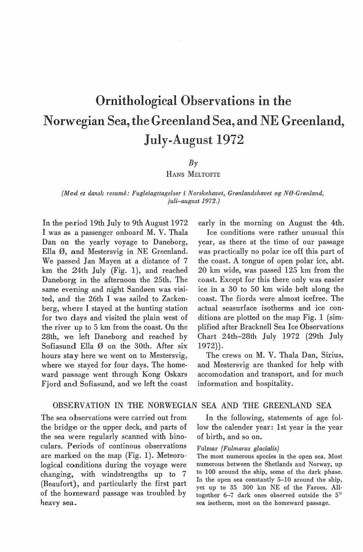# Ornithological Observations in the Norwegian Sea, the Greenland Sea, and NE Greenland. July-August 1972

# $B<sub>\gamma</sub>$

HANS MELTOFTE

## (Med *et dansk resume: Fugleiagttagelser* i *Norskehavet, Grønlandshavet og NØ-Grønland, juli-august 1972.)*

In the period 19th July to 9th August 1972 I was as a passenger onboard M.V. Thala Dan on the yearly voyage to Daneborg, Ella Ø, and Mestersvig in NE Greenland. We passed Jan Mayen at a distance of 7 km the 24th July (Fig. 1), and reached Daneborg in the afternoon the 25th. The same evening and night Sandøen was visited, and the 26th I was sailed to Zackenberg, where I stayed at the hunting station for two days and visited the plain west of the river up to 5 km from the coast. On the 28th, we left Daneborg and reached by Sofiasund Ella Ø on the 30th. After six hours stay here we went on to Mestersvig, where we stayed for four days. The homeward passage went through Kong Oskars Fiord and Sofiasund, and we left the coast

early in the morning on August the 4th. Ice conditions were rather unusual this year, as there at the time of our passage was practically no polar ice off this part of the coast. A tongue of open polar ice, abt. 20 km wide, was passed 125 km from the coast. Except for this there only was easier ice in a 30 to 50 km wide helt along the coast. The fiords were almost icefree. The actual seasurface isotherms and ice conditions are plotted on the map Fig.  $1$  (simplified after Bracknell Sea Ice Observations Ohart 24th-28th July 1972 (29th July 1972)).

The crews on M. V. Thala Dan, Sirius, and Mestersvig are thanked for help with accomodation and transport, and for much information and hospitality.

# OBSERVATION IN THE NORWEGIAN SEA AND THE GREENLAND SEA

The sea observations were carried out from the bridge or the upper deck, and parts of the sea were regularly scanned with binoculars. Periods of continous observations are marked on the map (Fig. 1). Meteorological conditions during the voyage were changing, with windstrengths up to 7 (Beaufort), and particularly the first part of the horneward passage was troubled by heavy sea.

In the following, statements of age follow the calender year: 1st year is the year of birth, and so on.

## Fulmar *(Fulmarus glacialis)*

The most numerous species in the open sea. Most numerous between the Shetlands and Norway, up to 100 around the ship, some of the dark phase. In the open sea constantly 5-10 around the ship, yet up to 35 300 km NE of the Faroes. Alltogether 6-7 dark ones observed outside the 5° sea isotherm, most on the homeward passage.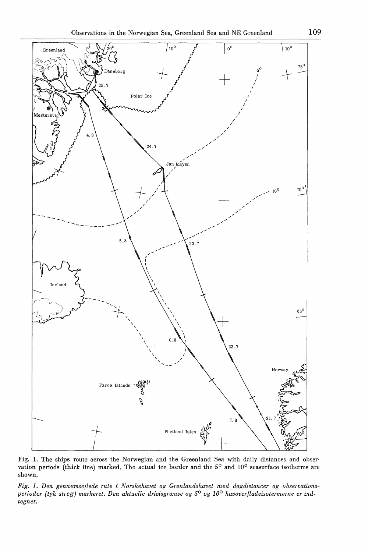

Fig. 1. The ships route across the Norwegian and the Greenland Sea with daily distances and obser· vation periods (thick line) marked. The actual ice border and the 5° and 10° seasurface isotherms are shown.

*Fig. 1. Den gennemsejlede rute* i *Norskehavet og Grønlandshavet med dagdistancer og observationsperioder (tyk streg) markeret. Den aktuelle drivisgrænse og 5° og 10° havoverfladeisotermerne er ind· tegnet.*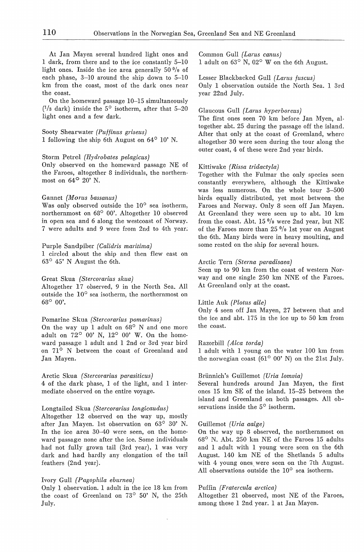At Jan Mayen several hundred light ones and 1 dark, from there and to the ice constantly 5-10 light ones. Inside the ice area generally  $50\frac{0}{0}$  of each phase,  $3-10$  around the ship down to  $5-10$ km from the coast, most of the dark ones near the coast.

On the homeward passage 10-15 simultaneously ( <sup>1</sup>/a dark) inside the 5° isotherm, after that 5-20 light ones and a few dark.

# Sooty Shearwater *(Puffinus griseus)*

1 following the ship 6th August on 64° 10' N.

## Storm Petrel *(Hydrobates pelagicus)*

Only observed on the homeward passage NE of the Faroes, altogether 8 individuals, the northernmost on 64° 20' N.

## Gannet *(Morus bassanus)*

Was only observed outside the  $10^{\circ}$  sea isotherm, northernmost on 68° 00'. Altogether 10 observed in open sea and 6 along the westcoast of Norway. 7 were adults and 9 were from 2nd to 4th year.

## Purple Sandpiber *(Calidris maritima)*

1 circled about the ship and then flew east on 63° 45' N August the 6th.

## Great Skua *(Stercorarius skua)*

Altogether 17 observed, 9 in the North Sea. All outside the 10° sea isotherm, the northernmost on 68° 00'.

### Pomarine Skua *(Stercorarius pomarinus)*

On the way up 1 adult on  $68^\circ$  N and one more adult on  $72^{\circ}$  00' N,  $12^{\circ}$  00' W. On the homeward passage 1 adult and 1 2nd or 3rd year hird on 71° N between the coast of Greenland and Jan Mayen.

## Arctic Skua *(Stercorarius parasiticus)*

4 of the dark phase, 1 of the light, and 1 intermediate observed on the entire voyage.

## Longtailed Skua *(Stercorarius longicaudus)*

Altogether 12 observed on the way up, mostly after Jan Mayen. lst observation on 63° 30' N. In the ice area 30-40 were seen, on the homeward passage none after the ice. Some individuals had not fully grown tail (3rd year), 1 was very dark and had hardly any elongation of the tail feathers (2nd year).

#### Ivory Gull *(Pagophila eburnea)*

Only 1 observation. 1 adult in the ice 18 km from the coast of Greenland on 73° 50' N, the 25th July.

Common Gull *(Larus canus)* 

1 adult on  $63^\circ$  N,  $02^\circ$  W on the 6th August.

# Lesser Blackbacked Gull *( Larus fuscus)*

Only 1 observation outside the North Sea. 1 3rd year 22nd July.

## Glaucous Gull *(Larus hyperboreus)*

The first ones seen 70 km before Jan Myen, altogether abt. 25 during the passage off the island. After that only at the coast of Greenland, wherc altogether 30 were seen during the tour along the outer coast, 4 of these were 2nd year hirds.

### Kittiwake *(Rissa tridactyla)*

Together with the Fulmar the only species seen constantly everywhere, although the Kittiwake was less numerous. On the whole tour 3-500 hirds equally distributed, yet most between the Faroes and Norway. Only 8 seen off Jan Mayen. At Greenland they were seen up to abt. 10 km from the coast. Abt. 15 °/o were 2nd year, but NE of the Faroes more than  $25 \frac{0}{0}$  lst year on August the 6th. Many hirds were in heavy moulting, and some rested on the ship for several hours.

### Arctic Tern *(Sterna paradisaea)*

Seen up to 90 km from the coast of western Norway and one single 250 km NNE of the Faroes. At Greenland only at the coast.

## Little Auk *(Plotus alle)*

Only 4 seen off Jan Mayen, 27 between that and the ice and abt. 175 in the ice up to 50 km from the coast.

### Razorbill *( Alca torda)*

1 adult with 1 young on the water 100 km from the norwegian coast  $(61^{\circ} 00' N)$  on the 21st July.

## Briinnich's Guillemot *(Uria lomvia)*

Several hundreds around Jan Mayen, the first ones 15 km SE of the island. 15-25 between the island and Greenland on both passages. All observations inside the 5° isotherm.

### Guillemot *(Uria aalge)*

On the way up 8 observed, the northernmost on  $68^{\circ}$  N. Abt. 250 km NE of the Faroes 15 adults and 1 adult with 1 young were seen on the 6th August. 140 km NE of the Shetlands 5 adults with 4 young ones. were seen on the 7th August. All observations outside the 10° sea isotherm.

### Puffin *(Fratercula arctica)*

Altogether 21 observed, most NE of the Faroes, among these 1 2nd year. 1 at Jan Mayen.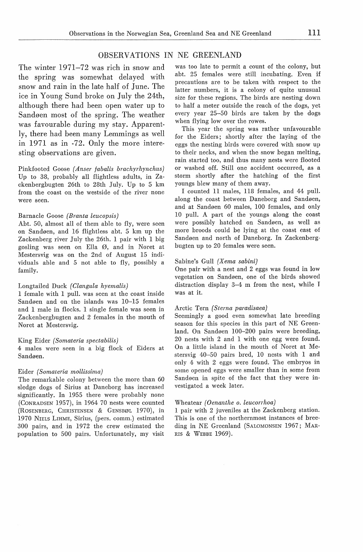# OBSERVATIONS IN NE GREENLAND

The winter 1971-72 was rich in snow and the spring was somewhat delayed with snow and rain in the larte half of June. The ice in Young Sund broke on July the 24th, although there had been open water up to Sandøen most of the spring. The weather was favourable during my stay. Apparently, there had been many Lemmings as well in 1971 as in -72. Only the more interesting observations are given.

Pinkfooted Goose *(Anser fabalis brachyrhynchus)*  Up to 38, probably all flightless adults, in Zackenbergbugten 26th to 28th July. Up to 5 km from the coast on the westside of the river none were seen.

## Barnacle Goose *(Branta leucopsis)*

Abt. 50, almost all of them able to fly, were seen on Sandøen, and 16 flightless abt. 5 km up the Zackenberg river July the 26th. 1 pair with 1 big gosling was seen on Ella Ø, and in Noret at Mestersvig was on the 2nd of August 15 individuals able and 5 not able to fly, possibly a family.

## Longtailed Duck *(Clangula hyemalis)*

1 female with 1 pull. was seen at the coast inside Sandøen and on the islands was 10-15 females and 1 male in flocks. 1 single female was seen in Zackenbergbugten and 2 females in the mouth of Noret at Mestersvig.

#### King Eider *(Somateria spectabilis)*

4 males were seen in a big flock of Eiders at Sandøen.

## Eider *(Somateria mollissima)*

The remarkable colony between the more than 60 sledge dogs of Sirius at Daneborg has increased significantly. In 1955 there were probably none (CoNRADSEN 1957), in 1964 70 nests were counted (ROSENBERG, CHRISTENSEN & GENSBØL 1970), in 1970 NIELS LIHME, Sirius, (pers. comm.) estimated 300 pairs, and in 1972 the crew estimated the population to 500 pairs. Unfortunately, my visit was too late to permit a count of the colony, but abt. 25 females were still incubating. Even if precautions are to be taken with respect to the latter numbers, it is a colony of quite unusual size for these regions. The hirds are nesting down to half a meter outside the reach of the dogs, yet every year 25-50 hirds are taken by the dogs when flying low over the rowes.

This year the spring was rather unfavourable for the Eiders; shortly after the laying of the eggs the nesting hirds were covered with snow up to their necks, and when the snow began melting, rain started too, and thus many nests were flooted or washed off. Still one accident occurred, as a storm shortly after the hatching of the first youngs blew many of them away.

I counted 11 males, 118 females, and 44 pull. along the coast between Daneborg and Sandøen, and at Sandøen 60 males, 100 females, and only 10 pull. A part of the youngs along the coast were possibly hatched on Sandøen, as well as more broods could be lying at the coast east of Sandøen and north of Daneborg. In Zackenbergbugten up to 20 females were seen.

#### Sabine's Gull *(Xema sabini)*

One pair with a nest and 2 eggs was found in low vegetation on Sandøen, one of the hirds showed distraction display 3-4 m from the nest, while I was at it.

## Arctic Tern *(Sterna paradisaea)*

Seemingly a good even somewhat late breeding season for this species in this part of NE Greenland. On Sandøen 100-200 pairs were breeding, 20 nests with 2 and 1 with one egg were found. On a little island in the mouth of Noret at Mestersvig 40-50 pairs bred, 10 nests with 1 and only 4 with 2 eggs were found. The embryos in some opened eggs were smaller than in some from Sandøen in spite of the faet that they were investigated a week later.

#### Wheatear *(Oenanthe o. leucorrhoa)*

1 pair with 2 juveniles at the Zackenberg station. This is one of the northernmost instances of breeding in NE Greenland (SALOMONSEN 1967; MAR-RIS & WEBBE 1969).